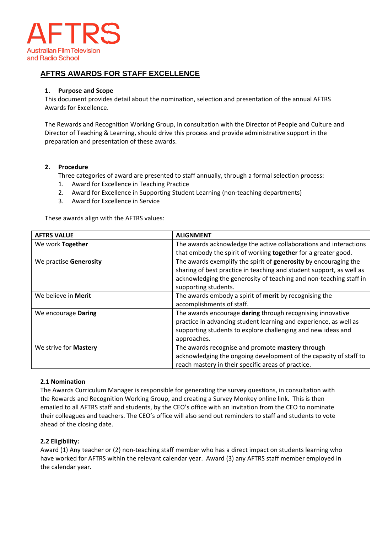

# **AFTRS AWARDS FOR STAFF EXCELLENCE**

#### **1. Purpose and Scope**

This document provides detail about the nomination, selection and presentation of the annual AFTRS Awards for Excellence.

The Rewards and Recognition Working Group, in consultation with the Director of People and Culture and Director of Teaching & Learning, should drive this process and provide administrative support in the preparation and presentation of these awards.

#### **2. Procedure**

Three categories of award are presented to staff annually, through a formal selection process:

- 1. Award for Excellence in Teaching Practice
- 2. Award for Excellence in Supporting Student Learning (non-teaching departments)
- 3. Award for Excellence in Service

These awards align with the AFTRS values:

| <b>AFTRS VALUE</b>         | <b>ALIGNMENT</b>                                                     |  |  |  |  |
|----------------------------|----------------------------------------------------------------------|--|--|--|--|
| We work Together           | The awards acknowledge the active collaborations and interactions    |  |  |  |  |
|                            | that embody the spirit of working together for a greater good.       |  |  |  |  |
| We practise Generosity     | The awards exemplify the spirit of generosity by encouraging the     |  |  |  |  |
|                            | sharing of best practice in teaching and student support, as well as |  |  |  |  |
|                            | acknowledging the generosity of teaching and non-teaching staff in   |  |  |  |  |
|                            | supporting students.                                                 |  |  |  |  |
| We believe in <b>Merit</b> | The awards embody a spirit of merit by recognising the               |  |  |  |  |
|                            | accomplishments of staff.                                            |  |  |  |  |
| We encourage Daring        | The awards encourage daring through recognising innovative           |  |  |  |  |
|                            | practice in advancing student learning and experience, as well as    |  |  |  |  |
|                            | supporting students to explore challenging and new ideas and         |  |  |  |  |
|                            | approaches.                                                          |  |  |  |  |
| We strive for Mastery      | The awards recognise and promote mastery through                     |  |  |  |  |
|                            | acknowledging the ongoing development of the capacity of staff to    |  |  |  |  |
|                            | reach mastery in their specific areas of practice.                   |  |  |  |  |

## **2.1 Nomination**

The Awards Curriculum Manager is responsible for generating the survey questions, in consultation with the Rewards and Recognition Working Group, and creating a Survey Monkey online link. This is then emailed to all AFTRS staff and students, by the CEO's office with an invitation from the CEO to nominate their colleagues and teachers. The CEO's office will also send out reminders to staff and students to vote ahead of the closing date.

#### **2.2 Eligibility:**

Award (1) Any teacher or (2) non-teaching staff member who has a direct impact on students learning who have worked for AFTRS within the relevant calendar year. Award (3) any AFTRS staff member employed in the calendar year.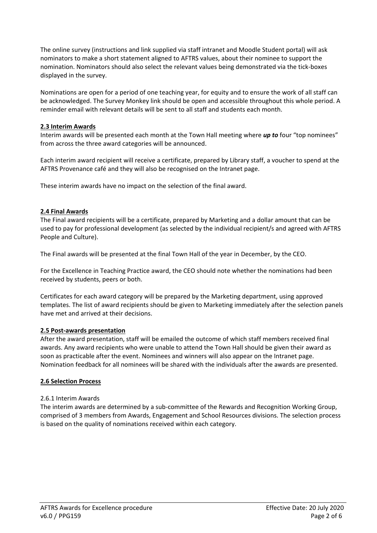The online survey (instructions and link supplied via staff intranet and Moodle Student portal) will ask nominators to make a short statement aligned to AFTRS values, about their nominee to support the nomination. Nominators should also select the relevant values being demonstrated via the tick-boxes displayed in the survey.

Nominations are open for a period of one teaching year, for equity and to ensure the work of all staff can be acknowledged. The Survey Monkey link should be open and accessible throughout this whole period. A reminder email with relevant details will be sent to all staff and students each month.

## **2.3 Interim Awards**

Interim awards will be presented each month at the Town Hall meeting where *up to* four "top nominees" from across the three award categories will be announced.

Each interim award recipient will receive a certificate, prepared by Library staff, a voucher to spend at the AFTRS Provenance café and they will also be recognised on the Intranet page.

These interim awards have no impact on the selection of the final award.

## **2.4 Final Awards**

The Final award recipients will be a certificate, prepared by Marketing and a dollar amount that can be used to pay for professional development (as selected by the individual recipient/s and agreed with AFTRS People and Culture).

The Final awards will be presented at the final Town Hall of the year in December, by the CEO.

For the Excellence in Teaching Practice award, the CEO should note whether the nominations had been received by students, peers or both.

Certificates for each award category will be prepared by the Marketing department, using approved templates. The list of award recipients should be given to Marketing immediately after the selection panels have met and arrived at their decisions.

## **2.5 Post-awards presentation**

After the award presentation, staff will be emailed the outcome of which staff members received final awards. Any award recipients who were unable to attend the Town Hall should be given their award as soon as practicable after the event. Nominees and winners will also appear on the Intranet page. Nomination feedback for all nominees will be shared with the individuals after the awards are presented.

## **2.6 Selection Process**

## 2.6.1 Interim Awards

The interim awards are determined by a sub-committee of the Rewards and Recognition Working Group, comprised of 3 members from Awards, Engagement and School Resources divisions. The selection process is based on the quality of nominations received within each category.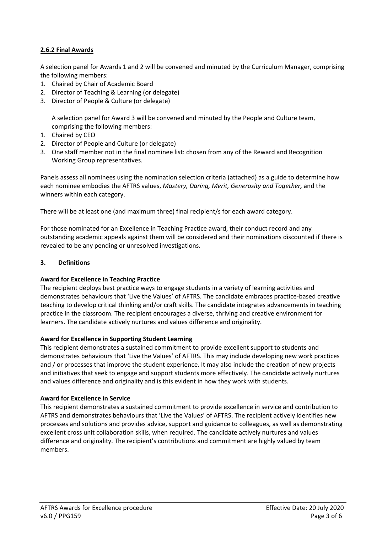# **2.6.2 Final Awards**

A selection panel for Awards 1 and 2 will be convened and minuted by the Curriculum Manager, comprising the following members:

- 1. Chaired by Chair of Academic Board
- 2. Director of Teaching & Learning (or delegate)
- 3. Director of People & Culture (or delegate)

A selection panel for Award 3 will be convened and minuted by the People and Culture team, comprising the following members:

- 1. Chaired by CEO
- 2. Director of People and Culture (or delegate)
- 3. One staff member not in the final nominee list: chosen from any of the Reward and Recognition Working Group representatives.

Panels assess all nominees using the nomination selection criteria (attached) as a guide to determine how each nominee embodies the AFTRS values, *Mastery, Daring, Merit, Generosity and Together,* and the winners within each category.

There will be at least one (and maximum three) final recipient/s for each award category.

For those nominated for an Excellence in Teaching Practice award, their conduct record and any outstanding academic appeals against them will be considered and their nominations discounted if there is revealed to be any pending or unresolved investigations.

## **3. Definitions**

## **Award for Excellence in Teaching Practice**

The recipient deploys best practice ways to engage students in a variety of learning activities and demonstrates behaviours that 'Live the Values' of AFTRS. The candidate embraces practice-based creative teaching to develop critical thinking and/or craft skills. The candidate integrates advancements in teaching practice in the classroom. The recipient encourages a diverse, thriving and creative environment for learners. The candidate actively nurtures and values difference and originality.

## **Award for Excellence in Supporting Student Learning**

This recipient demonstrates a sustained commitment to provide excellent support to students and demonstrates behaviours that 'Live the Values' of AFTRS. This may include developing new work practices and / or processes that improve the student experience. It may also include the creation of new projects and initiatives that seek to engage and support students more effectively. The candidate actively nurtures and values difference and originality and is this evident in how they work with students.

#### **Award for Excellence in Service**

This recipient demonstrates a sustained commitment to provide excellence in service and contribution to AFTRS and demonstrates behaviours that 'Live the Values' of AFTRS. The recipient actively identifies new processes and solutions and provides advice, support and guidance to colleagues, as well as demonstrating excellent cross unit collaboration skills, when required. The candidate actively nurtures and values difference and originality. The recipient's contributions and commitment are highly valued by team members.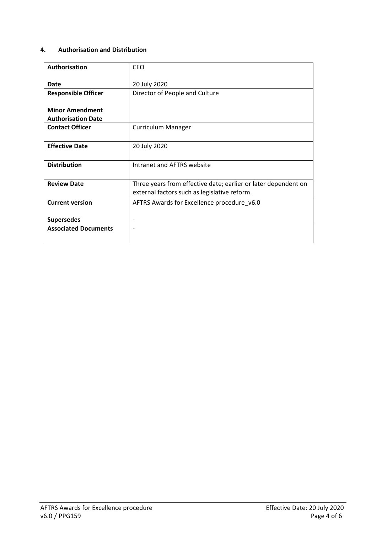# **4. Authorisation and Distribution**

| <b>CEO</b>                                                                                                     |  |  |  |  |
|----------------------------------------------------------------------------------------------------------------|--|--|--|--|
| 20 July 2020                                                                                                   |  |  |  |  |
| Director of People and Culture                                                                                 |  |  |  |  |
|                                                                                                                |  |  |  |  |
| <b>Curriculum Manager</b>                                                                                      |  |  |  |  |
| 20 July 2020                                                                                                   |  |  |  |  |
| Intranet and AFTRS website                                                                                     |  |  |  |  |
| Three years from effective date; earlier or later dependent on<br>external factors such as legislative reform. |  |  |  |  |
| AFTRS Awards for Excellence procedure_v6.0                                                                     |  |  |  |  |
|                                                                                                                |  |  |  |  |
|                                                                                                                |  |  |  |  |
|                                                                                                                |  |  |  |  |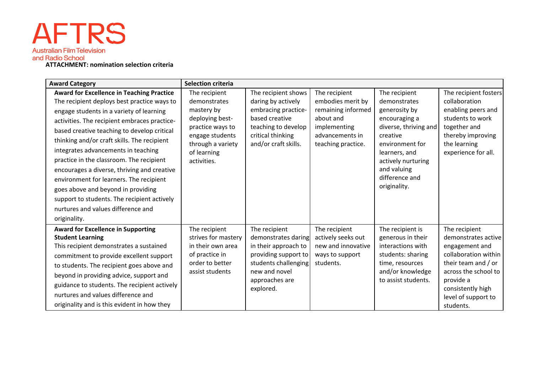# **AFTRS Australian Film Television**

**ATTACHMENT: nomination selection criteria**

| <b>Award Category</b>                                                                                                                                                                                                                                                                                                                                                                   | <b>Selection criteria</b>                                                                                                                                |                                                                                                                                                              |                                                                                                                                |                                                                                                                                                                                                                 |                                                                                                                                                                                                     |
|-----------------------------------------------------------------------------------------------------------------------------------------------------------------------------------------------------------------------------------------------------------------------------------------------------------------------------------------------------------------------------------------|----------------------------------------------------------------------------------------------------------------------------------------------------------|--------------------------------------------------------------------------------------------------------------------------------------------------------------|--------------------------------------------------------------------------------------------------------------------------------|-----------------------------------------------------------------------------------------------------------------------------------------------------------------------------------------------------------------|-----------------------------------------------------------------------------------------------------------------------------------------------------------------------------------------------------|
| <b>Award for Excellence in Teaching Practice</b><br>The recipient deploys best practice ways to<br>engage students in a variety of learning<br>activities. The recipient embraces practice-<br>based creative teaching to develop critical                                                                                                                                              | The recipient<br>demonstrates<br>mastery by<br>deploying best-<br>practice ways to<br>engage students<br>through a variety<br>of learning<br>activities. | The recipient shows<br>daring by actively<br>embracing practice-<br>based creative<br>teaching to develop<br>critical thinking<br>and/or craft skills.       | The recipient<br>embodies merit by<br>remaining informed<br>about and<br>implementing<br>advancements in<br>teaching practice. | The recipient<br>demonstrates<br>generosity by<br>encouraging a<br>diverse, thriving and<br>creative<br>environment for<br>learners, and<br>actively nurturing<br>and valuing<br>difference and<br>originality. | The recipient fosters<br>collaboration<br>enabling peers and<br>students to work<br>together and<br>thereby improving<br>the learning<br>experience for all.                                        |
| thinking and/or craft skills. The recipient<br>integrates advancements in teaching<br>practice in the classroom. The recipient<br>encourages a diverse, thriving and creative<br>environment for learners. The recipient<br>goes above and beyond in providing<br>support to students. The recipient actively<br>nurtures and values difference and<br>originality.                     |                                                                                                                                                          |                                                                                                                                                              |                                                                                                                                |                                                                                                                                                                                                                 |                                                                                                                                                                                                     |
| <b>Award for Excellence in Supporting</b><br><b>Student Learning</b><br>This recipient demonstrates a sustained<br>commitment to provide excellent support<br>to students. The recipient goes above and<br>beyond in providing advice, support and<br>guidance to students. The recipient actively<br>nurtures and values difference and<br>originality and is this evident in how they | The recipient<br>strives for mastery<br>in their own area<br>of practice in<br>order to better<br>assist students                                        | The recipient<br>demonstrates daring<br>in their approach to<br>providing support to<br>students challenging<br>new and novel<br>approaches are<br>explored. | The recipient<br>actively seeks out<br>new and innovative<br>ways to support<br>students.                                      | The recipient is<br>generous in their<br>interactions with<br>students: sharing<br>time, resources<br>and/or knowledge<br>to assist students.                                                                   | The recipient<br>demonstrates active<br>engagement and<br>collaboration within<br>their team and / or<br>across the school to<br>provide a<br>consistently high<br>level of support to<br>students. |